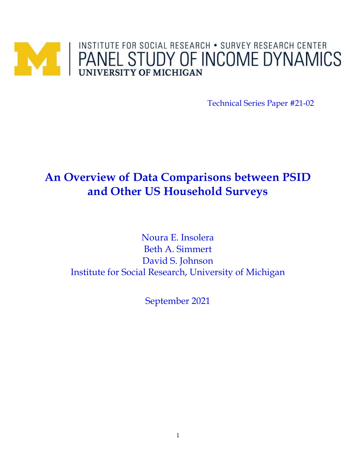# PANEL STUDY OF INCOME DYNAMICS

Technical Series Paper #21-02

# **An Overview of Data Comparisons between PSID and Other US Household Surveys**

Noura E. Insolera Beth A. Simmert David S. Johnson Institute for Social Research, University of Michigan

September 2021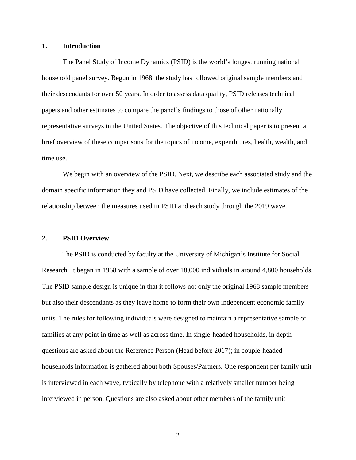#### **1. Introduction**

The Panel Study of Income Dynamics (PSID) is the world's longest running national household panel survey. Begun in 1968, the study has followed original sample members and their descendants for over 50 years. In order to assess data quality, PSID releases technical papers and other estimates to compare the panel's findings to those of other nationally representative surveys in the United States. The objective of this technical paper is to present a brief overview of these comparisons for the topics of income, expenditures, health, wealth, and time use.

We begin with an overview of the PSID. Next, we describe each associated study and the domain specific information they and PSID have collected. Finally, we include estimates of the relationship between the measures used in PSID and each study through the 2019 wave.

#### **2. PSID Overview**

The PSID is conducted by faculty at the University of Michigan's Institute for Social Research. It began in 1968 with a sample of over 18,000 individuals in around 4,800 households. The PSID sample design is unique in that it follows not only the original 1968 sample members but also their descendants as they leave home to form their own independent economic family units. The rules for following individuals were designed to maintain a representative sample of families at any point in time as well as across time. In single-headed households, in depth questions are asked about the Reference Person (Head before 2017); in couple-headed households information is gathered about both Spouses/Partners. One respondent per family unit is interviewed in each wave, typically by telephone with a relatively smaller number being interviewed in person. Questions are also asked about other members of the family unit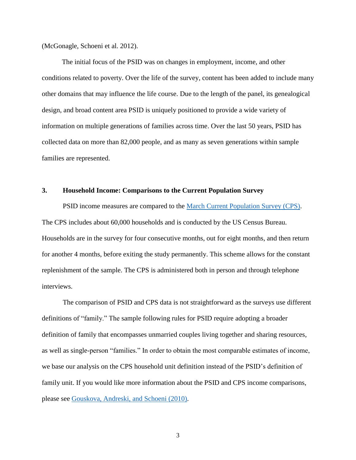(McGonagle, Schoeni et al. 2012).

The initial focus of the PSID was on changes in employment, income, and other conditions related to poverty. Over the life of the survey, content has been added to include many other domains that may influence the life course. Due to the length of the panel, its genealogical design, and broad content area PSID is uniquely positioned to provide a wide variety of information on multiple generations of families across time. Over the last 50 years, PSID has collected data on more than 82,000 people, and as many as seven generations within sample families are represented.

#### **3. Household Income: Comparisons to the Current Population Survey**

PSID income measures are compared to the [March Current Population Survey \(CPS\).](https://www.census.gov/programs-surveys/cps.html) The CPS includes about 60,000 households and is conducted by the US Census Bureau. Households are in the survey for four consecutive months, out for eight months, and then return for another 4 months, before exiting the study permanently. This scheme allows for the constant replenishment of the sample. The CPS is administered both in person and through telephone interviews.

The comparison of PSID and CPS data is not straightforward as the surveys use different definitions of "family." The sample following rules for PSID require adopting a broader definition of family that encompasses unmarried couples living together and sharing resources, as well as single-person "families." In order to obtain the most comparable estimates of income, we base our analysis on the CPS household unit definition instead of the PSID's definition of family unit. If you would like more information about the PSID and CPS income comparisons, please see [Gouskova, Andreski, and Schoeni \(2010\).](https://psidonline.isr.umich.edu/Publications/Papers/tsp/2010-01_comparing_estimates_of_fam.pdf)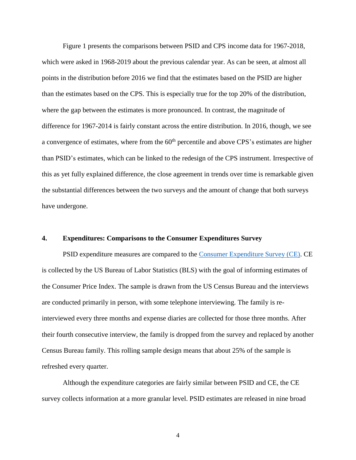Figure 1 presents the comparisons between PSID and CPS income data for 1967-2018, which were asked in 1968-2019 about the previous calendar year. As can be seen, at almost all points in the distribution before 2016 we find that the estimates based on the PSID are higher than the estimates based on the CPS. This is especially true for the top 20% of the distribution, where the gap between the estimates is more pronounced. In contrast, the magnitude of difference for 1967-2014 is fairly constant across the entire distribution. In 2016, though, we see a convergence of estimates, where from the  $60<sup>th</sup>$  percentile and above CPS's estimates are higher than PSID's estimates, which can be linked to the redesign of the CPS instrument. Irrespective of this as yet fully explained difference, the close agreement in trends over time is remarkable given the substantial differences between the two surveys and the amount of change that both surveys have undergone.

#### **4. Expenditures: Comparisons to the Consumer Expenditures Survey**

PSID expenditure measures are compared to the [Consumer Expenditure Survey \(CE\).](https://www.bls.gov/cex/home.htm) CE is collected by the US Bureau of Labor Statistics (BLS) with the goal of informing estimates of the Consumer Price Index. The sample is drawn from the US Census Bureau and the interviews are conducted primarily in person, with some telephone interviewing. The family is reinterviewed every three months and expense diaries are collected for those three months. After their fourth consecutive interview, the family is dropped from the survey and replaced by another Census Bureau family. This rolling sample design means that about 25% of the sample is refreshed every quarter.

Although the expenditure categories are fairly similar between PSID and CE, the CE survey collects information at a more granular level. PSID estimates are released in nine broad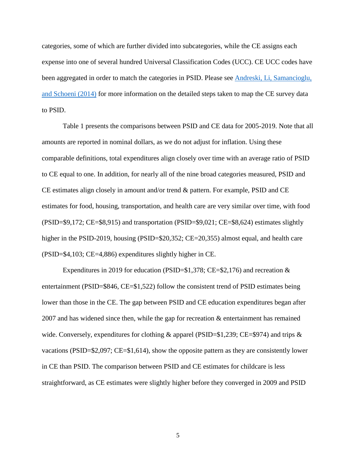categories, some of which are further divided into subcategories, while the CE assigns each expense into one of several hundred Universal Classification Codes (UCC). CE UCC codes have been aggregated in order to match the categories in PSID. Please see [Andreski, Li, Samancioglu,](https://pubs.aeaweb.org/doi/pdfplus/10.1257/aer.104.5.132)  [and Schoeni \(2014\)](https://pubs.aeaweb.org/doi/pdfplus/10.1257/aer.104.5.132) for more information on the detailed steps taken to map the CE survey data to PSID.

Table 1 presents the comparisons between PSID and CE data for 2005-2019. Note that all amounts are reported in nominal dollars, as we do not adjust for inflation. Using these comparable definitions, total expenditures align closely over time with an average ratio of PSID to CE equal to one. In addition, for nearly all of the nine broad categories measured, PSID and CE estimates align closely in amount and/or trend & pattern. For example, PSID and CE estimates for food, housing, transportation, and health care are very similar over time, with food (PSID=\$9,172; CE=\$8,915) and transportation (PSID=\$9,021; CE=\$8,624) estimates slightly higher in the PSID-2019, housing (PSID=\$20,352; CE=20,355) almost equal, and health care (PSID=\$4,103; CE=4,886) expenditures slightly higher in CE.

Expenditures in 2019 for education (PSID= $$1,378$ ; CE= $$2,176$ ) and recreation & entertainment (PSID=\$846, CE=\$1,522) follow the consistent trend of PSID estimates being lower than those in the CE. The gap between PSID and CE education expenditures began after 2007 and has widened since then, while the gap for recreation & entertainment has remained wide. Conversely, expenditures for clothing & apparel (PSID=\$1,239; CE=\$974) and trips  $\&$ vacations (PSID=\$2,097; CE=\$1,614), show the opposite pattern as they are consistently lower in CE than PSID. The comparison between PSID and CE estimates for childcare is less straightforward, as CE estimates were slightly higher before they converged in 2009 and PSID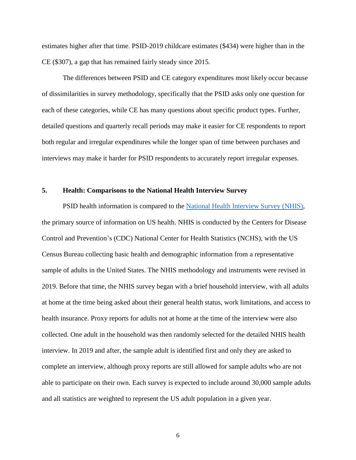estimates higher after that time. PSID-2019 childcare estimates (\$434) were higher than in the CE (\$307), a gap that has remained fairly steady since 2015.

The differences between PSID and CE category expenditures most likely occur because of dissimilarities in survey methodology, specifically that the PSID asks only one question for each of these categories, while CE has many questions about specific product types. Further, detailed questions and quarterly recall periods may make it easier for CE respondents to report both regular and irregular expenditures while the longer span of time between purchases and interviews may make it harder for PSID respondents to accurately report irregular expenses.

#### **5. Health: Comparisons to the National Health Interview Survey**

PSID health information is compared to the [National Health Interview Survey \(NHIS\),](https://www.cdc.gov/nchs/nhis/index.htm) the primary source of information on US health. NHIS is conducted by the Centers for Disease Control and Prevention's (CDC) National Center for Health Statistics (NCHS), with the US Census Bureau collecting basic health and demographic information from a representative sample of adults in the United States. The NHIS methodology and instruments were revised in 2019. Before that time, the NHIS survey began with a brief household interview, with all adults at home at the time being asked about their general health status, work limitations, and access to health insurance. Proxy reports for adults not at home at the time of the interview were also collected. One adult in the household was then randomly selected for the detailed NHIS health interview. In 2019 and after, the sample adult is identified first and only they are asked to complete an interview, although proxy reports are still allowed for sample adults who are not able to participate on their own. Each survey is expected to include around 30,000 sample adults and all statistics are weighted to represent the US adult population in a given year.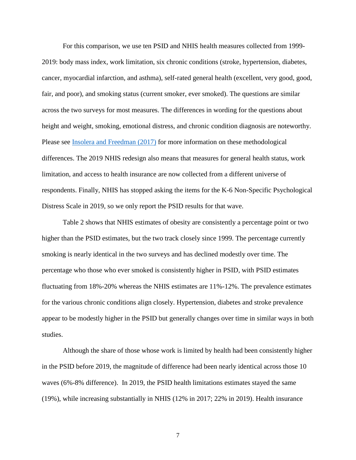For this comparison, we use ten PSID and NHIS health measures collected from 1999- 2019: body mass index, work limitation, six chronic conditions (stroke, hypertension, diabetes, cancer, myocardial infarction, and asthma), self-rated general health (excellent, very good, good, fair, and poor), and smoking status (current smoker, ever smoked). The questions are similar across the two surveys for most measures. The differences in wording for the questions about height and weight, smoking, emotional distress, and chronic condition diagnosis are noteworthy. Please see [Insolera and Freedman \(2017\)](https://psidonline.isr.umich.edu/Publications/Papers/tsp/2017-01_Health_Data_update_2015.pdf) for more information on these methodological differences. The 2019 NHIS redesign also means that measures for general health status, work limitation, and access to health insurance are now collected from a different universe of respondents. Finally, NHIS has stopped asking the items for the K-6 Non-Specific Psychological Distress Scale in 2019, so we only report the PSID results for that wave.

Table 2 shows that NHIS estimates of obesity are consistently a percentage point or two higher than the PSID estimates, but the two track closely since 1999. The percentage currently smoking is nearly identical in the two surveys and has declined modestly over time. The percentage who those who ever smoked is consistently higher in PSID, with PSID estimates fluctuating from 18%-20% whereas the NHIS estimates are 11%-12%. The prevalence estimates for the various chronic conditions align closely. Hypertension, diabetes and stroke prevalence appear to be modestly higher in the PSID but generally changes over time in similar ways in both studies.

Although the share of those whose work is limited by health had been consistently higher in the PSID before 2019, the magnitude of difference had been nearly identical across those 10 waves (6%-8% difference). In 2019, the PSID health limitations estimates stayed the same (19%), while increasing substantially in NHIS (12% in 2017; 22% in 2019). Health insurance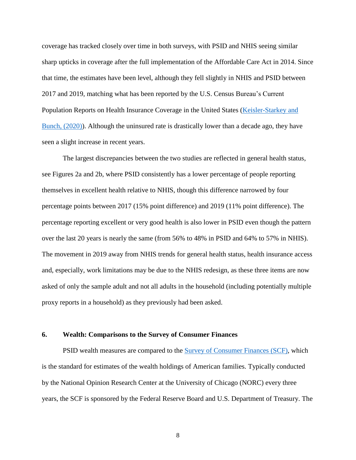coverage has tracked closely over time in both surveys, with PSID and NHIS seeing similar sharp upticks in coverage after the full implementation of the Affordable Care Act in 2014. Since that time, the estimates have been level, although they fell slightly in NHIS and PSID between 2017 and 2019, matching what has been reported by the U.S. Census Bureau's Current Population Reports on Health Insurance Coverage in the United States [\(Keisler-Starkey and](https://www.census.gov/library/publications/2020/demo/p60-271.html)  [Bunch, \(2020\)\)](https://www.census.gov/library/publications/2020/demo/p60-271.html). Although the uninsured rate is drastically lower than a decade ago, they have seen a slight increase in recent years.

The largest discrepancies between the two studies are reflected in general health status, see Figures 2a and 2b, where PSID consistently has a lower percentage of people reporting themselves in excellent health relative to NHIS, though this difference narrowed by four percentage points between 2017 (15% point difference) and 2019 (11% point difference). The percentage reporting excellent or very good health is also lower in PSID even though the pattern over the last 20 years is nearly the same (from 56% to 48% in PSID and 64% to 57% in NHIS). The movement in 2019 away from NHIS trends for general health status, health insurance access and, especially, work limitations may be due to the NHIS redesign, as these three items are now asked of only the sample adult and not all adults in the household (including potentially multiple proxy reports in a household) as they previously had been asked.

#### **6. Wealth: Comparisons to the Survey of Consumer Finances**

PSID wealth measures are compared to the [Survey of Consumer Finances](https://www.federalreserve.gov/scf/scf.htm) (SCF), which is the standard for estimates of the wealth holdings of American families. Typically conducted by the National Opinion Research Center at the University of Chicago (NORC) every three years, the SCF is sponsored by the Federal Reserve Board and U.S. Department of Treasury. The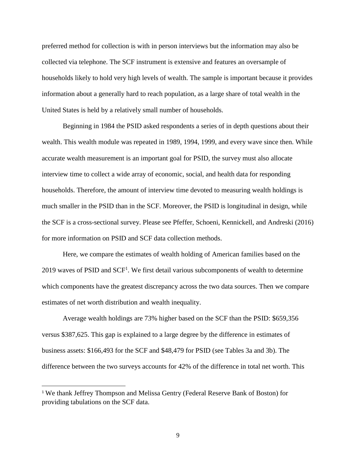preferred method for collection is with in person interviews but the information may also be collected via telephone. The SCF instrument is extensive and features an oversample of households likely to hold very high levels of wealth. The sample is important because it provides information about a generally hard to reach population, as a large share of total wealth in the United States is held by a relatively small number of households.

Beginning in 1984 the PSID asked respondents a series of in depth questions about their wealth. This wealth module was repeated in 1989, 1994, 1999, and every wave since then. While accurate wealth measurement is an important goal for PSID, the survey must also allocate interview time to collect a wide array of economic, social, and health data for responding households. Therefore, the amount of interview time devoted to measuring wealth holdings is much smaller in the PSID than in the SCF. Moreover, the PSID is longitudinal in design, while the SCF is a cross-sectional survey. Please see [Pfeffer, Schoeni, Kennickell, and Andreski](https://psidonline.isr.umich.edu/Publications/Papers/tsp/2014-03_%20Measuring_Wealth_and_Wealth_Inequality.pdf) (2016) for more information on PSID and SCF data collection methods.

Here, we compare the estimates of wealth holding of American families based on the 2019 waves of PSID and  $SCF<sup>1</sup>$ . We first detail various subcomponents of wealth to determine which components have the greatest discrepancy across the two data sources. Then we compare estimates of net worth distribution and wealth inequality.

Average wealth holdings are 73% higher based on the SCF than the PSID: \$659,356 versus \$387,625. This gap is explained to a large degree by the difference in estimates of business assets: \$166,493 for the SCF and \$48,479 for PSID (see Tables 3a and 3b). The difference between the two surveys accounts for 42% of the difference in total net worth. This

l

<sup>1</sup> We thank Jeffrey Thompson and Melissa Gentry (Federal Reserve Bank of Boston) for providing tabulations on the SCF data.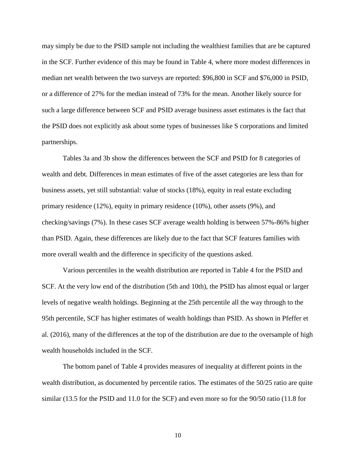may simply be due to the PSID sample not including the wealthiest families that are be captured in the SCF. Further evidence of this may be found in Table 4, where more modest differences in median net wealth between the two surveys are reported: \$96,800 in SCF and \$76,000 in PSID, or a difference of 27% for the median instead of 73% for the mean. Another likely source for such a large difference between SCF and PSID average business asset estimates is the fact that the PSID does not explicitly ask about some types of businesses like S corporations and limited partnerships.

Tables 3a and 3b show the differences between the SCF and PSID for 8 categories of wealth and debt. Differences in mean estimates of five of the asset categories are less than for business assets, yet still substantial: value of stocks (18%), equity in real estate excluding primary residence (12%), equity in primary residence (10%), other assets (9%), and checking/savings (7%). In these cases SCF average wealth holding is between 57%-86% higher than PSID. Again, these differences are likely due to the fact that SCF features families with more overall wealth and the difference in specificity of the questions asked.

Various percentiles in the wealth distribution are reported in Table 4 for the PSID and SCF. At the very low end of the distribution (5th and 10th), the PSID has almost equal or larger levels of negative wealth holdings. Beginning at the 25th percentile all the way through to the 95th percentile, SCF has higher estimates of wealth holdings than PSID. As shown in Pfeffer et al. (2016), many of the differences at the top of the distribution are due to the oversample of high wealth households included in the SCF.

The bottom panel of Table 4 provides measures of inequality at different points in the wealth distribution, as documented by percentile ratios. The estimates of the 50/25 ratio are quite similar (13.5 for the PSID and 11.0 for the SCF) and even more so for the 90/50 ratio (11.8 for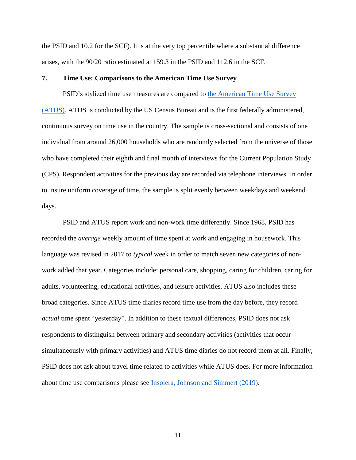the PSID and 10.2 for the SCF). It is at the very top percentile where a substantial difference arises, with the 90/20 ratio estimated at 159.3 in the PSID and 112.6 in the SCF.

#### **7. Time Use: Comparisons to the American Time Use Survey**

PSID's stylized time use measures are compared to the American Time Use Survey [\(ATUS\).](https://www.bls.gov/tus/) ATUS is conducted by the US Census Bureau and is the first federally administered, continuous survey on time use in the country. The sample is cross-sectional and consists of one individual from around 26,000 households who are randomly selected from the universe of those who have completed their eighth and final month of interviews for the Current Population Study (CPS). Respondent activities for the previous day are recorded via telephone interviews. In order to insure uniform coverage of time, the sample is split evenly between weekdays and weekend days.

PSID and ATUS report work and non-work time differently. Since 1968, PSID has recorded the *average* weekly amount of time spent at work and engaging in housework. This language was revised in 2017 to *typical* week in order to match seven new categories of nonwork added that year. Categories include: personal care, shopping, caring for children, caring for adults, volunteering, educational activities, and leisure activities. ATUS also includes these broad categories. Since ATUS time diaries record time use from the day before, they record *actual* time spent "yesterday". In addition to these textual differences, PSID does not ask respondents to distinguish between primary and secondary activities (activities that occur simultaneously with primary activities) and ATUS time diaries do not record them at all. Finally, PSID does not ask about travel time related to activities while ATUS does. For more information about time use comparisons please see Insolera, Johnson [and Simmert \(2019\).](https://psidonline.isr.umich.edu/Publications/Papers/tsp/2019-02_Evaluation_TimeUse_data.pdf)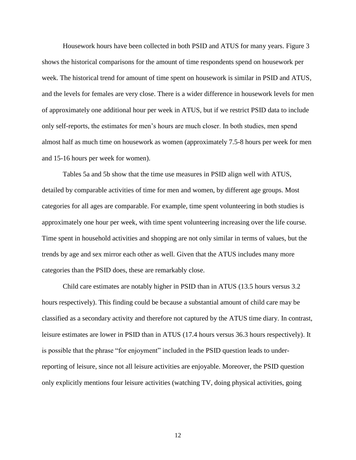Housework hours have been collected in both PSID and ATUS for many years. Figure 3 shows the historical comparisons for the amount of time respondents spend on housework per week. The historical trend for amount of time spent on housework is similar in PSID and ATUS, and the levels for females are very close. There is a wider difference in housework levels for men of approximately one additional hour per week in ATUS, but if we restrict PSID data to include only self-reports, the estimates for men's hours are much closer. In both studies, men spend almost half as much time on housework as women (approximately 7.5-8 hours per week for men and 15-16 hours per week for women).

Tables 5a and 5b show that the time use measures in PSID align well with ATUS, detailed by comparable activities of time for men and women, by different age groups. Most categories for all ages are comparable. For example, time spent volunteering in both studies is approximately one hour per week, with time spent volunteering increasing over the life course. Time spent in household activities and shopping are not only similar in terms of values, but the trends by age and sex mirror each other as well. Given that the ATUS includes many more categories than the PSID does, these are remarkably close.

Child care estimates are notably higher in PSID than in ATUS (13.5 hours versus 3.2 hours respectively). This finding could be because a substantial amount of child care may be classified as a secondary activity and therefore not captured by the ATUS time diary. In contrast, leisure estimates are lower in PSID than in ATUS (17.4 hours versus 36.3 hours respectively). It is possible that the phrase "for enjoyment" included in the PSID question leads to underreporting of leisure, since not all leisure activities are enjoyable. Moreover, the PSID question only explicitly mentions four leisure activities (watching TV, doing physical activities, going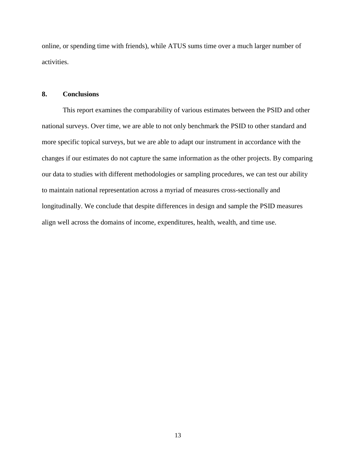online, or spending time with friends), while ATUS sums time over a much larger number of activities.

#### **8. Conclusions**

This report examines the comparability of various estimates between the PSID and other national surveys. Over time, we are able to not only benchmark the PSID to other standard and more specific topical surveys, but we are able to adapt our instrument in accordance with the changes if our estimates do not capture the same information as the other projects. By comparing our data to studies with different methodologies or sampling procedures, we can test our ability to maintain national representation across a myriad of measures cross-sectionally and longitudinally. We conclude that despite differences in design and sample the PSID measures align well across the domains of income, expenditures, health, wealth, and time use.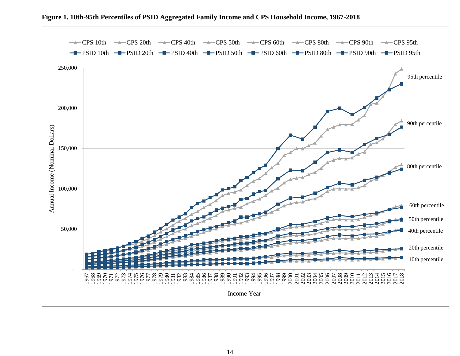

**Figure 1. 10th-95th Percentiles of PSID Aggregated Family Income and CPS Household Income, 1967-2018**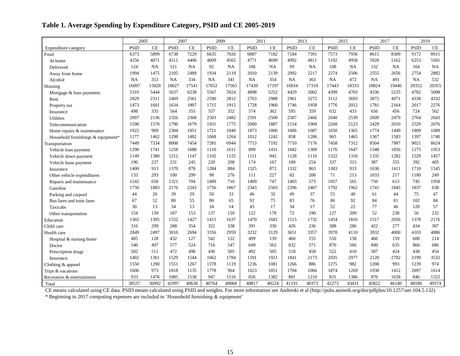# **Table 1. Average Spending by Expenditure Category, PSID and CE 2005-2019**

|                                    | 2005        |           |             | 2007  | 2009        |           | 2011        |       |             | 2013      |             | 2015        | 2017        |           | 2019        |       |
|------------------------------------|-------------|-----------|-------------|-------|-------------|-----------|-------------|-------|-------------|-----------|-------------|-------------|-------------|-----------|-------------|-------|
| Expenditure category               | <b>PSID</b> | <b>CE</b> | <b>PSID</b> | CE    | <b>PSID</b> | <b>CE</b> | <b>PSID</b> | CE    | <b>PSID</b> | CE        | <b>PSID</b> | CE          | <b>PSID</b> | $\rm CE$  | <b>PSID</b> | CE    |
| Food                               | 6373        | 5899      | 6738        | 7229  | 6635        | 7026      | 6887        | 7182  | 7184        | 7391      | 7573        | 7936        | 8615        | 8309      | 9172        | 8915  |
| At home                            | 4256        | 4071      | 4511        | 4406  | 4609        | 4565      | 4771        | 4690  | 4992        | 4811      | 5192        | 4958        | 5928        | 5162      | 6253        | 5501  |
| Delivered                          | 124         | <b>NA</b> | 121         | NA    | 92          | NA        | 106         | NA    | 99          | <b>NA</b> | 108         | $_{\rm NA}$ | 132         | <b>NA</b> | 164         | NA    |
| Away from home                     | 1994        | 1475      | 2105        | 2489  | 1934        | 2119      | 2010        | 2139  | 2092        | 2217      | 2274        | 2506        | 2555        | 2656      | 2754        | 2882  |
| Alcohol                            | NA          | 353       | NA          | 334   | NA          | 341       | <b>NA</b>   | 354   | NA          | 363       | NA          | 472         | NA          | 491       | NA          | 532   |
| Housing                            | 16097       | 15828     | 18027       | 17541 | 17652       | 17565     | 17439       | 17197 | 16934       | 17318     | 17443       | 18333       | 18824       | 19446     | 20352       | 20355 |
| Mortgage & loan payments           | 5310        | 5444      | 5637        | 6238  | 5567        | 5924      | 4898        | 5252  | 4429        | 5002      | 4399        | 4703        | 4336        | 5235      | 4782        | 5098  |
| Rent                               | 2029        | 2311      | 2469        | 2561  | 2590        | 2812      | 2763        | 2988  | 2961        | 3272      | 3112        | 3693        | 3872        | 4071      | 4330        | 4332  |
| Property tax                       | 1473        | 1601      | 1634        | 1807  | 1715        | 1915      | 1728        | 1960  | 1746        | 1958      | 1776        | 2012        | 1781        | 2164      | 2017        | 2276  |
| Insurance                          | 498         | 335       | 564         | 355   | 557         | 352       | 574         | 362   | 595         | 359       | 632         | 433         | 656         | 456       | 724         | 502   |
| <b>Utilities</b>                   | 2097        | 2136      | 2326        | 2368  | 2503        | 2482      | 2591        | 2500  | 2587        | 2466      | 2640        | 2539        | 2609        | 2479      | 2764        | 2643  |
| Telecommunication                  | 1590        | 1570      | 1796        | 1679  | 1931        | 1775      | 2000        | 1887  | 2154        | 1969      | 2268        | 2123        | 2429        | 2010      | 2529        | 2076  |
| Home repairs & maintenance         | 1922        | 969       | 2304        | 1051  | 1721        | 1040      | 1873        | 1006  | 1606        | 1087      | 1650        | 1365        | 1774        | 1449      | 1809        | 1689  |
| Household furnishings & equipment* | 1177        | 1462      | 1298        | 1482  | 1068        | 1264      | 1012        | 1242  | 858         | 1206      | 965         | 1465        | 1367        | 1583      | 1397        | 1740  |
| Transportation                     | 7449        | 7334      | 8008        | 7454  | 7281        | 6944      | 7713        | 7192  | 7710        | 7176      | 7458        | 7312        | 8504        | 7987      | 9021        | 8624  |
| Vehicle loan payment               | 1290        | 1741      | 1258        | 1688  | 1110        | 1611      | 899         | 1431  | 1042        | 1389      | 1176        | 1647        | 1348        | 1856      | 1275        | 1953  |
| Vehicle down payment               | 1149        | 1380      | 1212        | 1147  | 1102        | 1125      | 1151        | 942   | 1128        | 1110      | 1322        | 1316        | 1335        | 1282      | 1529        | 1457  |
| Vehicle lease payment              | 190         | 237       | 231         | 245   | 220         | 200       | 174         | 167   | 189         | 254       | 337         | 315         | 387         | 355       | 392         | 405   |
| Insurance                          | 1400        | 913       | 1370        | 878   | 1284        | 884       | 1325        | 872   | 1332        | 863       | 1383        | 933         | 1636        | 1411      | 1710        | 1545  |
| Other vehicle expenditures         | 133         | 293       | 100         | 299   | 98          | 276       | 111         | 227   | 82          | 200       | 71          | 213         | 1033        | 217       | 1180        | 249   |
| Repairs and maintenance            | 1242        | 658       | 1321        | 704   | 1409        | 710       | 1409        | 747   | 1403        | 573       | 1057        | 565         | 750         | 613       | 745         | 1958  |
| Gasoline                           | 1750        | 1883      | 2176        | 2243  | 1756        | 1867      | 2343        | 2503  | 2296        | 2467      | 1792        | 1962        | 1741        | 1845      | 1837        | 638   |
| Parking and carpool                | 44          | 26        | 39          | 29    | 50          | 33        | 46          | 32    | 49          | 37        | 55          | 40          | 61          | 44        | 75          | 47    |
| Bus fares and train fares          | 67          | 52        | 80          | 55    | 80          | 65        | 92          | 75    | 83          | 76        | 86          | 92          | 84          | 81        | 102         | 84    |
| Taxicabs                           | 30          | 13        | 34          | 13    | 34          | 14        | 43          | 17    | 34          | 17        | 52          | 22          | 77          | 46        | 120         | 57    |
| Other transportation               | 154         | 139       | 187         | 153   | 137         | 159       | 122         | 178   | 72          | 190       | 127         | 209         | 52          | 238       | 56          | 232   |
| Education                          | 1365        | 1395      | 1552        | 1427  | 1415        | 1637      | 1470        | 1681  | 1515        | 1732      | 1454        | 1816        | 1517        | 2056      | 1378        | 2176  |
| Child care                         | 316         | 299       | 288         | 354   | 322         | 338       | 391         | 330   | 426         | 236       | 388         | 286         | 422         | 277       | 434         | 307   |
| Health care                        | 2849        | 2497      | 3010        | 2694  | 3356        | 2959      | 3232        | 3129  | 3651        | 3357      | 3978        | 4110        | 3932        | 4000      | 4103        | 4886  |
| Hospital & nursing home            | 405         | 128       | 432         | 127   | 542         | 122       | 499         | 139   | 460         | 155       | 550         | 158         | 466         | 159       | 600         | 214   |
| Doctor                             | 540         | 497       | 577         | 524   | 716         | 547       | 649         | 562   | 832         | 571       | 870         | 566         | 840         | 635       | 866         | 686   |
| Prescription drugs                 | 502         | 511       | 472         | 498   | 436         | 505       | 492         | 505   | 518         | 458       | 522         | 410         | 507         | 424       | 438         | 454   |
| Insurance                          | 1402        | 1361      | 1529        | 1544  | 1662        | 1784      | 1591        | 1921  | 1841        | 2173      | 2035        | 2977        | 2120        | 2782      | 2199        | 3532  |
| Clothing & apparel                 | 1550        | 1290      | 1551        | 1267  | 1378        | 1119      | 1236        | 1081  | 1266        | 886       | 1275        | 982         | 1208        | 993       | 1239        | 974   |
| Trips & vacations                  | 1606        | 973       | 1818        | 1135  | 1778        | 964       | 1623        | 1051  | 1704        | 1066      | 1874        | 1269        | 1930        | 1412      | 2097        | 1614  |
| Recreation & entertainment         | 933         | 1476      | 1005        | 1538  | 947         | 1516      | 826         | 1382  | 801         | 1210      | 831         | 1386        | 870         | 1658      | 846         | 1522  |
| Total                              | 38537       | 36992     | 41997       | 40638 | 40764       | 40068     | 40817       | 40224 | 41191       | 40373     | 42273       | 43431       | 45822       | 46140     | 48186       | 49374 |

CE means calculated using CE data. PSID means calculated using PSID and weights. For more information see Andreski et al (http://pubs.aeaweb.org/doi/pdfplus/10.1257/aer.104.5.132)

\* Beginning in 2017 computing expenses are included in 'Household furnishing & equipment'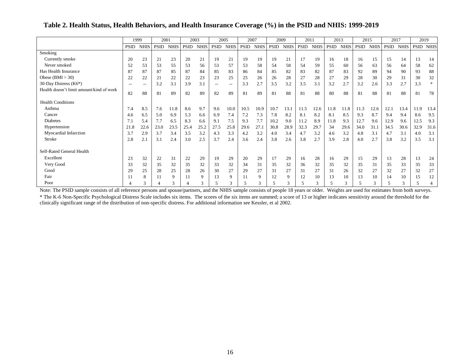## **Table 2. Health Status, Health Behaviors, and Health Insurance Coverage (%) in the PSID and NHIS: 1999-2019**

|                                          |             | 1999        | 2001 |             | 2003        |             | 2005  |              | 2007        |             |             | 2009        | 2011 |             | 2013 |             | 2015        |             | 2017 |             | 2019 |                  |
|------------------------------------------|-------------|-------------|------|-------------|-------------|-------------|-------|--------------|-------------|-------------|-------------|-------------|------|-------------|------|-------------|-------------|-------------|------|-------------|------|------------------|
|                                          | <b>PSID</b> | <b>NHIS</b> | PSID | <b>NHIS</b> | <b>PSID</b> | <b>NHIS</b> | PSID  | <b>NHIS</b>  | <b>PSID</b> | <b>NHIS</b> | <b>PSID</b> | <b>NHIS</b> | PSID | <b>NHIS</b> | PSID | <b>NHIS</b> | <b>PSID</b> | <b>NHIS</b> | PSID | <b>NHIS</b> |      | <b>PSID NHIS</b> |
| Smoking                                  |             |             |      |             |             |             |       |              |             |             |             |             |      |             |      |             |             |             |      |             |      |                  |
| Currently smoke                          | 20          | 23          | 21   | 23          | 20          | 21          | 19    | 21           | 19          | 19          | 19          | 21          | 17   | 19          | 16   | 18          | 16          | 15          | 15   | 14          | 13   | 14               |
| Never smoked                             | 52          | 53          | 53   | 55          | 53          | 56          | 53    | 57           | 53          | 58          | 54          | 58          | 54   | 59          | 55   | 60          | 56          | 63          | 56   | 64          | 58   | 62               |
| Has Health Insurance                     | 87          | 87          | 87   | 85          | 87          | 84          | 85    | 83           | 86          | 84          | 85          | 82          | 83   | 82          | 87   | 83          | 92          | 89          | 94   | 90          | 93   | 88               |
| Obese $(BMI > 30)$                       | 22          | 22          | 21   | 22          | 22          | 23          | 23    | 25           | 25          | 26          | 26          | 28          | 27   | 28          | 27   | 29          | 28          | 30          | 29   | 31          | 30   | 32               |
| 30-Day Distress (K6*)                    | --          | $- -$       | 3.2  | 3.1         | 3.9         | 3.1         | $- -$ | --           | 3.3         | 2.7         | 3.5         | 3.2         | 3.5  | 3.1         | 3.2  | 2.7         | 3.2         | 2.6         | 3.3  | 2.7         | 3.3  |                  |
| Health doesn't limit amount/kind of work | 82          | 88          | 81   | 89          | 82          | 89          | 82    | 89           | 81          | 89          | 81          | 88          | 81   | 88          | 80   | 88          | 81          | 88          | 81   | 88          | 81   | 78               |
| <b>Health Conditions</b>                 |             |             |      |             |             |             |       |              |             |             |             |             |      |             |      |             |             |             |      |             |      |                  |
| Asthma                                   | 7.4         | 8.5         | 7.6  | 11.8        | 8.6         | 9.7         | 9.6   | 10.0         | 10.5        | 10.9        | 10.7        | 13.1        | 11.5 | 12.6        | 11.8 | 11.8        | 11.3        | 12.6        | 12.1 | 13.4        | 11.9 | 13.4             |
| Cancer                                   | 4.6         | 6.5         | 5.0  | 6.9         | 5.3         | 6.6         | 6.9   | 7.4          | 7.2         | 7.3         | 7.8         | 8.2         | 8.1  | 8.2         | 8.1  | 8.5         | 9.3         | 8.7         | 9.4  | 9.4         | 8.6  | 9.5              |
| Diabetes                                 | 7.1         | 5.4         | 7.7  | 6.5         | 8.3         | 6.6         | 9.1   | 7.5          | 9.3         | 7.7         | 10.2        | 9.0         | 11.2 | 8.9         | 11.8 | 9.3         | 12.7        | 9.6         | 12.9 | 9.6         | 12.5 | 9.3              |
| Hypertension                             | 21.8        | 22.6        | 23.0 | 23.5        | 25.4        | 25.2        | 27.5  | 25.8         | 29.6        | 27.1        | 30.8        | 28.9        | 32.3 | 29.7        | 34   | 29.6        | 34.0        | 31.1        | 34.5 | 30.6        | 32.9 | 31.6             |
| Myocardial Infarction                    | 3.7         | 2.9         | 3.7  | 3.4         | 3.5         | 3.2         | 4.3   | 3.3          | 4.2         | 3.2         | 4.0         | 3.4         | 4.7  | 3.2         | 4.6  | 3.2         | 4.8         | 3.1         | 4.7  | 3.1         | 4.0  | 3.1              |
| <b>Stroke</b>                            | 2.8         | 2.1         | 3.1  | 2.4         | 3.0         | 2.5         | 3.7   | 2.4          | 3.6         | 2.4         | 3.8         | 2.6         | 3.8  | 2.7         | 3.9  | 2.8         | 4.0         | 2.7         | 3.8  | 3.2         | 3.5  | 3.1              |
| Self-Rated General Health                |             |             |      |             |             |             |       |              |             |             |             |             |      |             |      |             |             |             |      |             |      |                  |
| Excellent                                | 23          | 32          | 22   | 31          | 22          | 29          | 19    | 29           | 20          | 29          | 17          | 29          | 16   | 28          | 16   | 29          | 15          | 29          | 13   | 28          | 13   | 24               |
| Very Good                                | 33          | 32          | 35   | 32          | 35          | 32          | 33    | 32           | 34          | 31          | 35          | 32          | 36   | 32          | 35   | 32          | 35          | 31          | 35   | 33          | 35   | 33               |
| Good                                     | 29          | 25          | 28   | 25          | 28          | 26          | 30    | 27           | 29          | 27          | 31          | 27          | 31   | 27          | 31   | 26          | 32          | 27          | 32   | 27          | 32   | 27               |
| Fair                                     |             | 8           |      | 9           |             | 9           | 13    | 9            | 11          | 9           | 12          | 9           | 12   | 10          | 13   | 10          | 13          | 10          | 14   | 10          | 15   | 12               |
| Poor                                     | Δ           | 3           |      |             |             | 3           |       | $\mathbf{3}$ |             | 3           |             | 3           |      | 3           |      | 3           | 5           |             |      | 3           |      |                  |

Note: The PSID sample consists of all reference persons and spouse/partners, and the NHIS sample consists of people 18 years or older. Weights are used for estimates from both surveys.

\* The K-6 Non-Specific Psychological Distress Scale includes six items. The scores of the six items are summed; a score of 13 or higher indicates sensitivity around the threshold for the clinically significant range of the distribution of non-specific distress. For additional information see Kessler, et al 2002.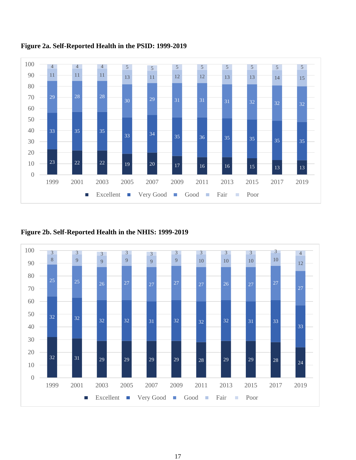

# **Figure 2a. Self-Reported Health in the PSID: 1999-2019**

**Figure 2b. Self-Reported Health in the NHIS: 1999-2019**

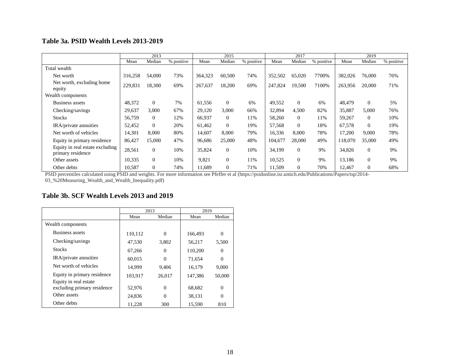# **Table 3a. PSID Wealth Levels 2013-2019**

|                                                      |         | 2013           |            |         | 2015           |            |         | 2017             |            |         | 2019     |            |
|------------------------------------------------------|---------|----------------|------------|---------|----------------|------------|---------|------------------|------------|---------|----------|------------|
|                                                      | Mean    | Median         | % positive | Mean    | Median         | % positive | Mean    | Median           | % positive | Mean    | Median   | % positive |
| Total wealth                                         |         |                |            |         |                |            |         |                  |            |         |          |            |
| Net worth                                            | 316,258 | 54,000         | 73%        | 364,323 | 60,500         | 74%        | 352,502 | 65,020           | 7700%      | 382,026 | 76,000   | 76%        |
| Net worth, excluding home<br>equity                  | 229,831 | 18,300         | 69%        | 267,637 | 18,200         | 69%        | 247,824 | 19,500           | 7100%      | 263,956 | 20,000   | 71%        |
| Wealth components                                    |         |                |            |         |                |            |         |                  |            |         |          |            |
| <b>Business assets</b>                               | 48,372  | $\Omega$       | 7%         | 61,556  | $\Omega$       | 6%         | 49,552  | $\mathbf{0}$     | 6%         | 48,479  | $\theta$ | 5%         |
| Checking/savings                                     | 29,637  | 3,000          | 67%        | 29,120  | 3,000          | 66%        | 32,894  | 4,500            | 82%        | 35,887  | 5,000    | 76%        |
| <b>Stocks</b>                                        | 56,759  | $\overline{0}$ | 12%        | 66,937  | $\mathbf{0}$   | 11%        | 58,260  | $\theta$         | 11%        | 59,267  | $\Omega$ | 10%        |
| IRA/private annuities                                | 52,452  | $\theta$       | 20%        | 61,462  | $\Omega$       | 19%        | 57,568  | $\Omega$         | 18%        | 67,578  | $\theta$ | 19%        |
| Net worth of vehicles                                | 14,301  | 8,000          | 80%        | 14.607  | 8.000          | 79%        | 16,336  | 8,000            | 78%        | 17,200  | 9,000    | 78%        |
| Equity in primary residence                          | 86,427  | 15,000         | 47%        | 96,686  | 25,000         | 48%        | 104,677 | 28,000           | 49%        | 118,070 | 35,000   | 49%        |
| Equity in real estate excluding<br>primary residence | 28,561  | $\overline{0}$ | 10%        | 35,824  | $\overline{0}$ | 10%        | 34,199  | $\boldsymbol{0}$ | 9%         | 34,826  | $\Omega$ | 9%         |
| Other assets                                         | 10,335  | $\theta$       | 10%        | 9,821   | $\mathbf{0}$   | 11%        | 10,525  | $\mathbf{0}$     | 9%         | 13,186  | $\Omega$ | 9%         |
| Other debts                                          | 10,587  | $\Omega$       | 74%        | 11.689  | $\theta$       | 71%        | 11,509  | $\Omega$         | 70%        | 12,467  | $\Omega$ | 68%        |

PSID percentiles calculated using PSID and weights. For more information see Pfeffer et al (https://psidonline.isr.umich.edu/Publications/Papers/tsp/2014- 03\_%20Measuring\_Wealth\_and\_Wealth\_Inequality.pdf)

# **Table 3b. SCF Wealth Levels 2013 and 2019**

|                             | 2013    |          | 2019    |          |
|-----------------------------|---------|----------|---------|----------|
|                             | Mean    | Median   | Mean    | Median   |
| Wealth components           |         |          |         |          |
| Business assets             | 110,112 | $\Omega$ | 166,493 | $\theta$ |
| Checking/savings            | 47,530  | 3,802    | 56,217  | 5,500    |
| <b>Stocks</b>               | 67,266  | $\Omega$ | 110,200 | $\theta$ |
| IRA/private annuities       | 60,015  | $\Omega$ | 71,654  | $\theta$ |
| Net worth of vehicles       | 14,999  | 9.406    | 16,179  | 9,000    |
| Equity in primary residence | 103,917 | 26,017   | 147,386 | 50,000   |
| Equity in real estate       |         |          |         |          |
| excluding primary residence | 52,976  | $\Omega$ | 68,682  | $\theta$ |
| Other assets                | 24.836  | 0        | 38,131  | $\theta$ |
| Other debts                 | 11,228  | 300      | 15,590  | 810      |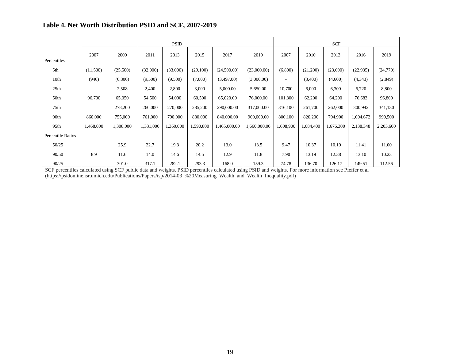# **Table 4. Net Worth Distribution PSID and SCF, 2007-2019**

|                          |           |           |           | <b>PSID</b> |           |              |              |                          |           | <b>SCF</b> |           |           |
|--------------------------|-----------|-----------|-----------|-------------|-----------|--------------|--------------|--------------------------|-----------|------------|-----------|-----------|
|                          | 2007      | 2009      | 2011      | 2013        | 2015      | 2017         | 2019         | 2007                     | 2010      | 2013       | 2016      | 2019      |
| Percentiles              |           |           |           |             |           |              |              |                          |           |            |           |           |
| 5th                      | (11,500)  | (25,500)  | (32,000)  | (33,000)    | (29,100)  | (24,500.00)  | (23,000.00)  | (6,800)                  | (21,200)  | (23,600)   | (22, 935) | (24,770)  |
| 10th                     | (946)     | (6,300)   | (9,500)   | (9,500)     | (7,000)   | (3,497.00)   | (3,000.00)   | $\overline{\phantom{a}}$ | (3,400)   | (4,600)    | (4,343)   | (2,849)   |
| 25 <sub>th</sub>         |           | 2,508     | 2,400     | 2,800       | 3,000     | 5,000.00     | 5,650.00     | 10,700                   | 6,000     | 6,300      | 6,720     | 8,800     |
| 50th                     | 96,700    | 65,050    | 54,500    | 54,000      | 60,500    | 65,020.00    | 76,000.00    | 101,300                  | 62,200    | 64,200     | 76,683    | 96,800    |
| 75th                     |           | 278,200   | 260,000   | 270,000     | 285,200   | 290,000.00   | 317,000.00   | 316,100                  | 261,700   | 262,000    | 300,942   | 341,130   |
| 90th                     | 860,000   | 755,000   | 761,000   | 790,000     | 880,000   | 840,000.00   | 900,000.00   | 800,100                  | 820,200   | 794,900    | 1,004,672 | 990,500   |
| 95th                     | 1,468,000 | 1,308,000 | 1,331,000 | 1,360,000   | 1,590,800 | 1,465,000.00 | 1,660,000.00 | 1,608,900                | 1,684,400 | 1,676,300  | 2,138,348 | 2,203,600 |
| <b>Percentile Ratios</b> |           |           |           |             |           |              |              |                          |           |            |           |           |
| 50/25                    |           | 25.9      | 22.7      | 19.3        | 20.2      | 13.0         | 13.5         | 9.47                     | 10.37     | 10.19      | 11.41     | 11.00     |
| 90/50                    | 8.9       | 11.6      | 14.0      | 14.6        | 14.5      | 12.9         | 11.8         | 7.90                     | 13.19     | 12.38      | 13.10     | 10.23     |
| 90/25                    |           | 301.0     | 317.1     | 282.1       | 293.3     | 168.0        | 159.3        | 74.78                    | 136.70    | 126.17     | 149.51    | 112.56    |

SCF percentiles calculated using SCF public data and weights. PSID percentiles calculated using PSID and weights. For more information see Pfeffer et al (https://psidonline.isr.umich.edu/Publications/Papers/tsp/2014-03\_%20Measuring\_Wealth\_and\_Wealth\_Inequality.pdf)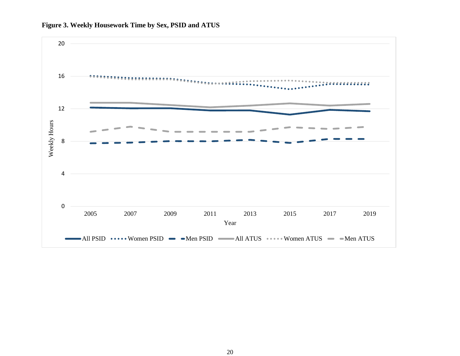

## **Figure 3. Weekly Housework Time by Sex, PSID and ATUS**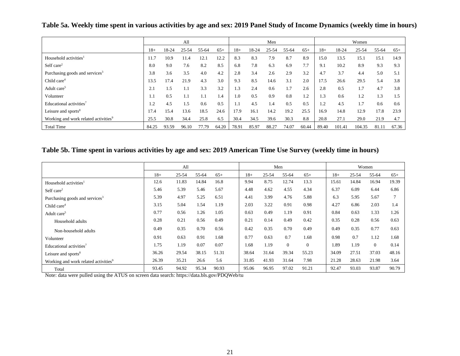|                                                  |       |       | All   |       |       |       |       | Men   |       |       |       |        | Women  |       |       |
|--------------------------------------------------|-------|-------|-------|-------|-------|-------|-------|-------|-------|-------|-------|--------|--------|-------|-------|
|                                                  | $18+$ | 18-24 | 25-54 | 55-64 | $65+$ | $18+$ | 18-24 | 25-54 | 55-64 | $65+$ | $18+$ | 18-24  | 25-54  | 55-64 | $65+$ |
| Household activities <sup>1</sup>                | 11.7  | 10.9  | 11.4  | 12.1  | 12.2  | 8.3   | 8.3   | 7.9   | 8.7   | 8.9   | 15.0  | 13.5   | 15.1   | 15.1  | 14.9  |
| Self care $2$                                    | 8.0   | 9.0   | 7.6   | 8.2   | 8.5   | 6.8   | 7.8   | 6.3   | 6.9   | 7.7   | 9.1   | 10.2   | 8.9    | 9.3   | 9.3   |
| Purchasing goods and services <sup>3</sup>       | 3.8   | 3.6   | 3.5   | 4.0   | 4.2   | 2.8   | 3.4   | 2.6   | 2.9   | 3.2   | 4.7   | 3.7    | 4.4    | 5.0   | 5.1   |
| Child care <sup>4</sup>                          | 13.5  | 17.4  | 21.9  | 4.3   | 3.0   | 9.3   | 8.5   | 14.6  | 3.1   | 2.0   | 17.5  | 26.6   | 29.5   | 5.4   | 3.8   |
| Adult care <sup>5</sup>                          | 2.1   | 1.5   | 1.1   | 3.3   | 3.2   | 1.3   | 2.4   | 0.6   | 1.7   | 2.6   | 2.8   | 0.5    | 1.7    | 4.7   | 3.8   |
| Volunteer                                        | 1.1   | 0.5   | 1.1   |       | 1.4   | 1.0   | 0.5   | 0.9   | 0.8   | 1.2   | 1.3   | 0.6    | 1.2    | 1.3   | . .5  |
| Educational activities <sup>7</sup>              | 1.2   | 4.5   | 1.5   | 0.6   | 0.5   | 1.1   | 4.5   | 1.4   | 0.5   | 0.5   | 1.2   | 4.5    | 1.7    | 0.6   | 0.6   |
| Leisure and sports <sup>8</sup>                  | 17.4  | 15.4  | 13.6  | 18.5  | 24.6  | 17.9  | 16.1  | 14.2  | 19.2  | 25.5  | 16.9  | 14.8   | 12.9   | 17.8  | 23.9  |
| Working and work related activities <sup>9</sup> | 25.5  | 30.8  | 34.4  | 25.8  | 6.5   | 30.4  | 34.5  | 39.6  | 30.3  | 8.8   | 20.8  | 27.1   | 29.0   | 21.9  | 4.7   |
| <b>Total Time</b>                                | 84.25 | 93.59 | 96.10 | 77.79 | 64.20 | 78.91 | 85.97 | 88.27 | 74.07 | 60.44 | 89.40 | 101.41 | 104.35 | 81.11 | 67.36 |

**Table 5a. Weekly time spent in various activities by age and sex: 2019 Panel Study of Income Dynamics (weekly time in hours)**

# **Table 5b. Time spent in various activities by age and sex: 2019 American Time Use Survey (weekly time in hours)**

|                                                  |       | All   |       |       |       |       | Men      |              | Women |           |                |       |  |  |
|--------------------------------------------------|-------|-------|-------|-------|-------|-------|----------|--------------|-------|-----------|----------------|-------|--|--|
|                                                  | $18+$ | 25-54 | 55-64 | $65+$ | $18+$ | 25-54 | 55-64    | $65+$        | $18+$ | $25 - 54$ | 55-64          | $65+$ |  |  |
| Household activities <sup>1</sup>                | 12.6  | 11.83 | 14.84 | 16.8  | 9.94  | 8.75  | 12.74    | 13.3         | 15.61 | 14.84     | 16.94          | 19.39 |  |  |
| Self care <sup>2</sup>                           | 5.46  | 5.39  | 5.46  | 5.67  | 4.48  | 4.62  | 4.55     | 4.34         | 6.37  | 6.09      | 6.44           | 6.86  |  |  |
| Purchasing goods and services <sup>3</sup>       | 5.39  | 4.97  | 5.25  | 6.51  | 4.41  | 3.99  | 4.76     | 5.88         | 6.3   | 5.95      | 5.67           | 7     |  |  |
| Child care <sup>4</sup>                          | 3.15  | 5.04  | 1.54  | 1.19  | 2.03  | 3.22  | 0.91     | 0.98         | 4.27  | 6.86      | 2.03           | 1.4   |  |  |
| Adult care <sup>5</sup>                          | 0.77  | 0.56  | 1.26  | 1.05  | 0.63  | 0.49  | 1.19     | 0.91         | 0.84  | 0.63      | 1.33           | 1.26  |  |  |
| Household adults                                 | 0.28  | 0.21  | 0.56  | 0.49  | 0.21  | 0.14  | 0.49     | 0.42         | 0.35  | 0.28      | 0.56           | 0.63  |  |  |
| Non-household adults                             | 0.49  | 0.35  | 0.70  | 0.56  | 0.42  | 0.35  | 0.70     | 0.49         | 0.49  | 0.35      | 0.77           | 0.63  |  |  |
| Volunteer                                        | 0.91  | 0.63  | 0.91  | 1.68  | 0.77  | 0.63  | 0.7      | 1.68         | 0.98  | 0.7       | 1.12           | 1.68  |  |  |
| Educational activities <sup>7</sup>              | 1.75  | 1.19  | 0.07  | 0.07  | 1.68  | 1.19  | $\Omega$ | $\mathbf{0}$ | 1.89  | 1.19      | $\overline{0}$ | 0.14  |  |  |
| Leisure and sports <sup>8</sup>                  | 36.26 | 29.54 | 38.15 | 51.31 | 38.64 | 31.64 | 39.34    | 55.23        | 34.09 | 27.51     | 37.03          | 48.16 |  |  |
| Working and work related activities <sup>9</sup> | 26.39 | 35.21 | 26.6  | 5.6   | 31.85 | 41.93 | 31.64    | 7.98         | 21.28 | 28.63     | 21.98          | 3.64  |  |  |
| Total                                            | 93.45 | 94.92 | 95.34 | 90.93 | 95.06 | 96.95 | 97.02    | 91.21        | 92.47 | 93.03     | 93.87          | 90.79 |  |  |

Note: data were pulled using the ATUS on screen data search: https://data.bls.gov/PDQWeb/tu